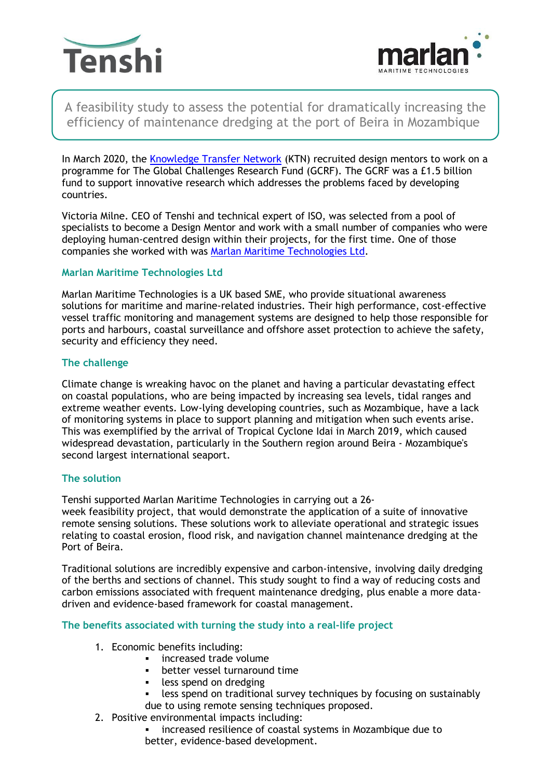



A feasibility study to assess the potential for dramatically increasing the efficiency of maintenance dredging at the port of Beira in Mozambique

In March 2020, the [Knowledge Transfer Network](https://ktn-uk.org/) (KTN) recruited design mentors to work on a programme for The Global Challenges Research Fund (GCRF). The GCRF was a £1.5 billion fund to support innovative research which addresses the problems faced by developing countries.

Victoria Milne. CEO of Tenshi and technical expert of ISO, was selected from a pool of specialists to become a Design Mentor and work with a small number of companies who were deploying human-centred design within their projects, for the first time. One of those companies she worked with was [Marlan Maritime Technologies Ltd.](https://marlan-tech.co.uk/)

# **Marlan Maritime Technologies Ltd**

Marlan Maritime Technologies is a UK based SME, who provide situational awareness solutions for maritime and marine-related industries. Their high performance, cost-effective vessel traffic monitoring and management systems are designed to help those responsible for ports and harbours, coastal surveillance and offshore asset protection to achieve the safety, security and efficiency they need.

## **The challenge**

Climate change is wreaking havoc on the planet and having a particular devastating effect on coastal populations, who are being impacted by increasing sea levels, tidal ranges and extreme weather events. Low-lying developing countries, such as Mozambique, have a lack of monitoring systems in place to support planning and mitigation when such events arise. This was exemplified by the arrival of Tropical Cyclone Idai in March 2019, which caused widespread devastation, particularly in the Southern region around Beira - Mozambique's second largest international seaport.

## **The solution**

Tenshi supported Marlan Maritime Technologies in carrying out a 26-

week feasibility project, that would demonstrate the application of a suite of innovative remote sensing solutions. These solutions work to alleviate operational and strategic issues relating to coastal erosion, flood risk, and navigation channel maintenance dredging at the Port of Beira.

Traditional solutions are incredibly expensive and carbon-intensive, involving daily dredging of the berths and sections of channel. This study sought to find a way of reducing costs and carbon emissions associated with frequent maintenance dredging, plus enable a more datadriven and evidence-based framework for coastal management.

## **The benefits associated with turning the study into a real-life project**

- 1. Economic benefits including:
	- increased trade volume
	- better vessel turnaround time
	- **•** less spend on dredging
	- less spend on traditional survey techniques by focusing on sustainably due to using remote sensing techniques proposed.
- 2. Positive environmental impacts including:

**•** increased resilience of coastal systems in Mozambique due to better, evidence-based development.